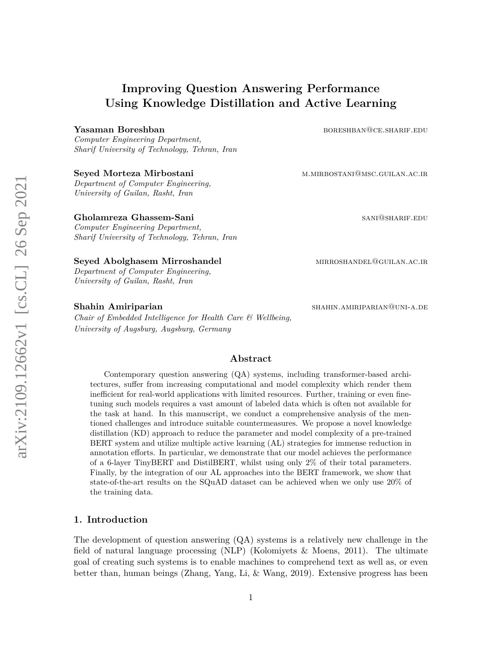# **Improving Question Answering Performance Using Knowledge Distillation and Active Learning**

#### **Yasaman Boreshban** boresht boreshbang boreshbang boreshbang boreshbang boreshbang boreshbang boreshbang boreshbang boreshbang boreshbang boreshbang boreshbang boreshbang boreshbang boreshbang boreshbang boreshbang boreshb

*Computer Engineering Department, Sharif University of Technology, Tehran, Iran*

*Department of Computer Engineering, University of Guilan, Rasht, Iran*

#### **Gholamreza Ghassem-Sani** sani sani sani@shariF.EDU

*Computer Engineering Department, Sharif University of Technology, Tehran, Iran*

#### **Seyed Abolghasem Mirroshandel Mirroshandel mirroshandel mirroshandel mirroshandel**

*Department of Computer Engineering, University of Guilan, Rasht, Iran*

*Chair of Embedded Intelligence for Health Care & Wellbeing, University of Augsburg, Augsburg, Germany*

**Seyed Morteza Mirbostani** metal metal metal metal metal metal metal metal metal metal metal metal metal metal metal metal metal metal metal metal metal metal metal metal metal metal metal metal metal metal metal metal met

**Shahin Amiriparian** shahin.amiriparian shahin.amiriparian shahin.amiriparian shahin.amiriparian shahin.amiripari

#### **Abstract**

Contemporary question answering (QA) systems, including transformer-based architectures, suffer from increasing computational and model complexity which render them inefficient for real-world applications with limited resources. Further, training or even finetuning such models requires a vast amount of labeled data which is often not available for the task at hand. In this manuscript, we conduct a comprehensive analysis of the mentioned challenges and introduce suitable countermeasures. We propose a novel knowledge distillation (KD) approach to reduce the parameter and model complexity of a pre-trained BERT system and utilize multiple active learning (AL) strategies for immense reduction in annotation efforts. In particular, we demonstrate that our model achieves the performance of a 6-layer TinyBERT and DistilBERT, whilst using only 2% of their total parameters. Finally, by the integration of our AL approaches into the BERT framework, we show that state-of-the-art results on the SQuAD dataset can be achieved when we only use 20% of the training data.

## **1. Introduction**

The development of question answering (QA) systems is a relatively new challenge in the field of natural language processing (NLP) (Kolomiyets & Moens, 2011). The ultimate goal of creating such systems is to enable machines to comprehend text as well as, or even better than, human beings (Zhang, Yang, Li, & Wang, 2019). Extensive progress has been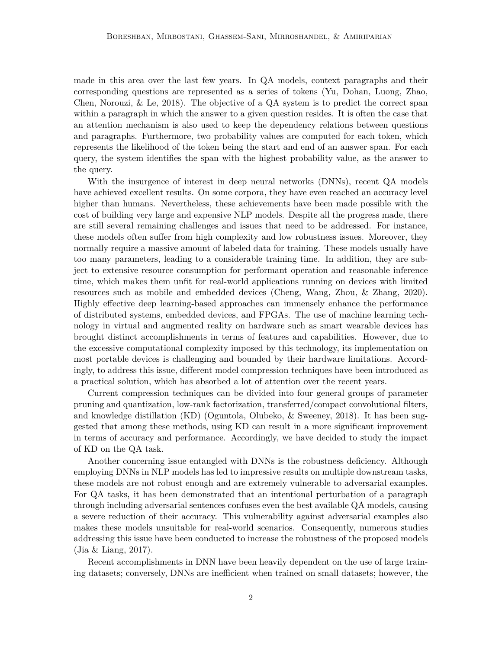made in this area over the last few years. In QA models, context paragraphs and their corresponding questions are represented as a series of tokens (Yu, Dohan, Luong, Zhao, Chen, Norouzi,  $\&$  Le, 2018). The objective of a QA system is to predict the correct span within a paragraph in which the answer to a given question resides. It is often the case that an attention mechanism is also used to keep the dependency relations between questions and paragraphs. Furthermore, two probability values are computed for each token, which represents the likelihood of the token being the start and end of an answer span. For each query, the system identifies the span with the highest probability value, as the answer to the query.

With the insurgence of interest in deep neural networks (DNNs), recent QA models have achieved excellent results. On some corpora, they have even reached an accuracy level higher than humans. Nevertheless, these achievements have been made possible with the cost of building very large and expensive NLP models. Despite all the progress made, there are still several remaining challenges and issues that need to be addressed. For instance, these models often suffer from high complexity and low robustness issues. Moreover, they normally require a massive amount of labeled data for training. These models usually have too many parameters, leading to a considerable training time. In addition, they are subject to extensive resource consumption for performant operation and reasonable inference time, which makes them unfit for real-world applications running on devices with limited resources such as mobile and embedded devices (Cheng, Wang, Zhou, & Zhang, 2020). Highly effective deep learning-based approaches can immensely enhance the performance of distributed systems, embedded devices, and FPGAs. The use of machine learning technology in virtual and augmented reality on hardware such as smart wearable devices has brought distinct accomplishments in terms of features and capabilities. However, due to the excessive computational complexity imposed by this technology, its implementation on most portable devices is challenging and bounded by their hardware limitations. Accordingly, to address this issue, different model compression techniques have been introduced as a practical solution, which has absorbed a lot of attention over the recent years.

Current compression techniques can be divided into four general groups of parameter pruning and quantization, low-rank factorization, transferred/compact convolutional filters, and knowledge distillation (KD) (Oguntola, Olubeko, & Sweeney, 2018). It has been suggested that among these methods, using KD can result in a more significant improvement in terms of accuracy and performance. Accordingly, we have decided to study the impact of KD on the QA task.

Another concerning issue entangled with DNNs is the robustness deficiency. Although employing DNNs in NLP models has led to impressive results on multiple downstream tasks, these models are not robust enough and are extremely vulnerable to adversarial examples. For QA tasks, it has been demonstrated that an intentional perturbation of a paragraph through including adversarial sentences confuses even the best available QA models, causing a severe reduction of their accuracy. This vulnerability against adversarial examples also makes these models unsuitable for real-world scenarios. Consequently, numerous studies addressing this issue have been conducted to increase the robustness of the proposed models (Jia & Liang, 2017).

Recent accomplishments in DNN have been heavily dependent on the use of large training datasets; conversely, DNNs are inefficient when trained on small datasets; however, the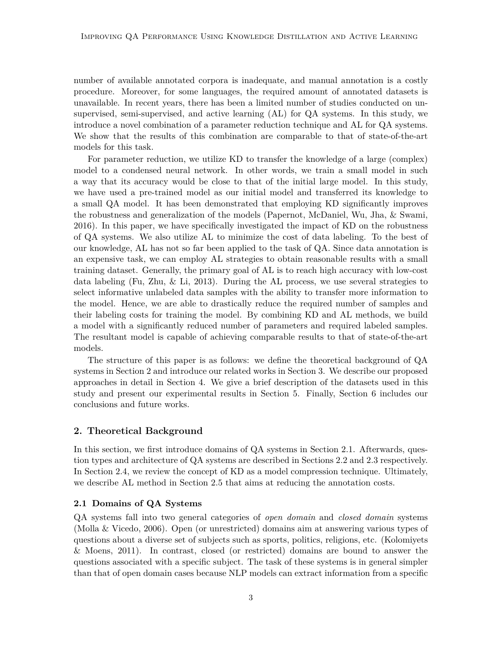number of available annotated corpora is inadequate, and manual annotation is a costly procedure. Moreover, for some languages, the required amount of annotated datasets is unavailable. In recent years, there has been a limited number of studies conducted on unsupervised, semi-supervised, and active learning (AL) for QA systems. In this study, we introduce a novel combination of a parameter reduction technique and AL for QA systems. We show that the results of this combination are comparable to that of state-of-the-art models for this task.

For parameter reduction, we utilize KD to transfer the knowledge of a large (complex) model to a condensed neural network. In other words, we train a small model in such a way that its accuracy would be close to that of the initial large model. In this study, we have used a pre-trained model as our initial model and transferred its knowledge to a small QA model. It has been demonstrated that employing KD significantly improves the robustness and generalization of the models (Papernot, McDaniel, Wu, Jha, & Swami, 2016). In this paper, we have specifically investigated the impact of KD on the robustness of QA systems. We also utilize AL to minimize the cost of data labeling. To the best of our knowledge, AL has not so far been applied to the task of QA. Since data annotation is an expensive task, we can employ AL strategies to obtain reasonable results with a small training dataset. Generally, the primary goal of AL is to reach high accuracy with low-cost data labeling (Fu, Zhu, & Li, 2013). During the AL process, we use several strategies to select informative unlabeled data samples with the ability to transfer more information to the model. Hence, we are able to drastically reduce the required number of samples and their labeling costs for training the model. By combining KD and AL methods, we build a model with a significantly reduced number of parameters and required labeled samples. The resultant model is capable of achieving comparable results to that of state-of-the-art models.

The structure of this paper is as follows: we define the theoretical background of QA systems in Section 2 and introduce our related works in Section 3. We describe our proposed approaches in detail in Section 4. We give a brief description of the datasets used in this study and present our experimental results in Section 5. Finally, Section 6 includes our conclusions and future works.

## **2. Theoretical Background**

In this section, we first introduce domains of QA systems in Section 2.1. Afterwards, question types and architecture of QA systems are described in Sections 2.2 and 2.3 respectively. In Section 2.4, we review the concept of KD as a model compression technique. Ultimately, we describe AL method in Section 2.5 that aims at reducing the annotation costs.

#### **2.1 Domains of QA Systems**

QA systems fall into two general categories of *open domain* and *closed domain* systems (Molla & Vicedo, 2006). Open (or unrestricted) domains aim at answering various types of questions about a diverse set of subjects such as sports, politics, religions, etc. (Kolomiyets & Moens, 2011). In contrast, closed (or restricted) domains are bound to answer the questions associated with a specific subject. The task of these systems is in general simpler than that of open domain cases because NLP models can extract information from a specific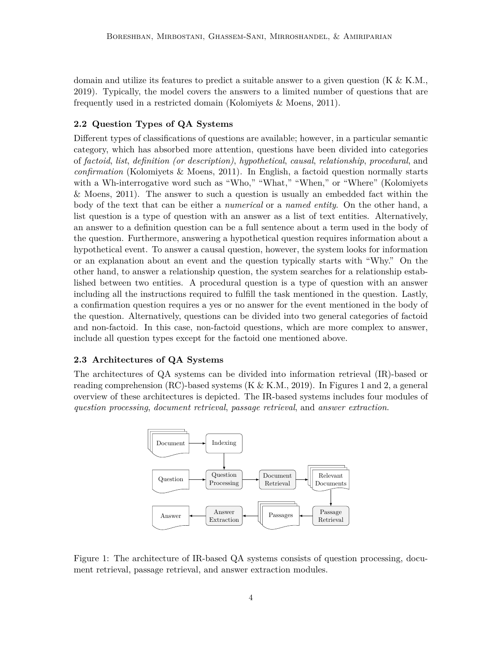domain and utilize its features to predict a suitable answer to a given question  $(K & K.M.,)$ 2019). Typically, the model covers the answers to a limited number of questions that are frequently used in a restricted domain (Kolomiyets & Moens, 2011).

## **2.2 Question Types of QA Systems**

Different types of classifications of questions are available; however, in a particular semantic category, which has absorbed more attention, questions have been divided into categories of *factoid*, *list*, *definition (or description)*, *hypothetical*, *causal*, *relationship*, *procedural*, and *confirmation* (Kolomiyets & Moens, 2011). In English, a factoid question normally starts with a Wh-interrogative word such as "Who," "What," "When," or "Where" (Kolomiyets & Moens, 2011). The answer to such a question is usually an embedded fact within the body of the text that can be either a *numerical* or a *named entity*. On the other hand, a list question is a type of question with an answer as a list of text entities. Alternatively, an answer to a definition question can be a full sentence about a term used in the body of the question. Furthermore, answering a hypothetical question requires information about a hypothetical event. To answer a causal question, however, the system looks for information or an explanation about an event and the question typically starts with "Why." On the other hand, to answer a relationship question, the system searches for a relationship established between two entities. A procedural question is a type of question with an answer including all the instructions required to fulfill the task mentioned in the question. Lastly, a confirmation question requires a yes or no answer for the event mentioned in the body of the question. Alternatively, questions can be divided into two general categories of factoid and non-factoid. In this case, non-factoid questions, which are more complex to answer, include all question types except for the factoid one mentioned above.

## **2.3 Architectures of QA Systems**

The architectures of QA systems can be divided into information retrieval (IR)-based or reading comprehension (RC)-based systems (K  $\&$  K.M., 2019). In Figures 1 and 2, a general overview of these architectures is depicted. The IR-based systems includes four modules of *question processing*, *document retrieval*, *passage retrieval*, and *answer extraction*.



Figure 1: The architecture of IR-based QA systems consists of question processing, document retrieval, passage retrieval, and answer extraction modules.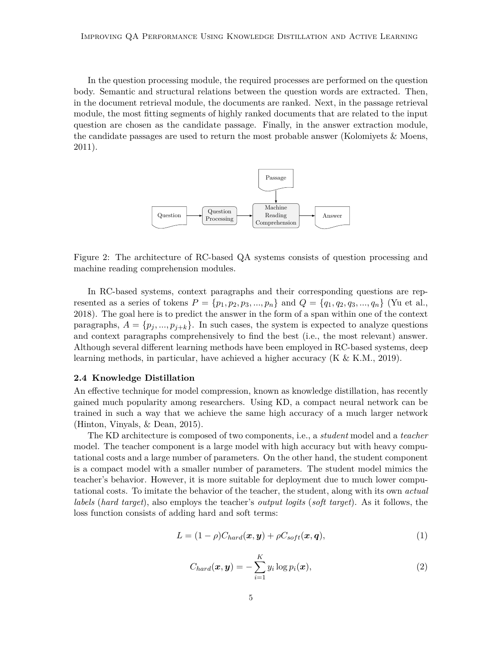In the question processing module, the required processes are performed on the question body. Semantic and structural relations between the question words are extracted. Then, in the document retrieval module, the documents are ranked. Next, in the passage retrieval module, the most fitting segments of highly ranked documents that are related to the input question are chosen as the candidate passage. Finally, in the answer extraction module, the candidate passages are used to return the most probable answer (Kolomiyets & Moens, 2011).



Figure 2: The architecture of RC-based QA systems consists of question processing and machine reading comprehension modules.

In RC-based systems, context paragraphs and their corresponding questions are represented as a series of tokens  $P = \{p_1, p_2, p_3, ..., p_n\}$  and  $Q = \{q_1, q_2, q_3, ..., q_n\}$  (Yu et al., 2018). The goal here is to predict the answer in the form of a span within one of the context paragraphs,  $A = \{p_i, ..., p_{i+k}\}.$  In such cases, the system is expected to analyze questions and context paragraphs comprehensively to find the best (i.e., the most relevant) answer. Although several different learning methods have been employed in RC-based systems, deep learning methods, in particular, have achieved a higher accuracy (K & K.M., 2019).

#### **2.4 Knowledge Distillation**

An effective technique for model compression, known as knowledge distillation, has recently gained much popularity among researchers. Using KD, a compact neural network can be trained in such a way that we achieve the same high accuracy of a much larger network (Hinton, Vinyals, & Dean, 2015).

The KD architecture is composed of two components, i.e., a *student* model and a *teacher* model. The teacher component is a large model with high accuracy but with heavy computational costs and a large number of parameters. On the other hand, the student component is a compact model with a smaller number of parameters. The student model mimics the teacher's behavior. However, it is more suitable for deployment due to much lower computational costs. To imitate the behavior of the teacher, the student, along with its own *actual labels* (*hard target*), also employs the teacher's *output logits* (*soft target*). As it follows, the loss function consists of adding hard and soft terms:

$$
L = (1 - \rho)C_{hard}(\boldsymbol{x}, \boldsymbol{y}) + \rho C_{soft}(\boldsymbol{x}, \boldsymbol{q}), \qquad (1)
$$

$$
C_{hard}(\boldsymbol{x}, \boldsymbol{y}) = -\sum_{i=1}^{K} y_i \log p_i(\boldsymbol{x}), \qquad (2)
$$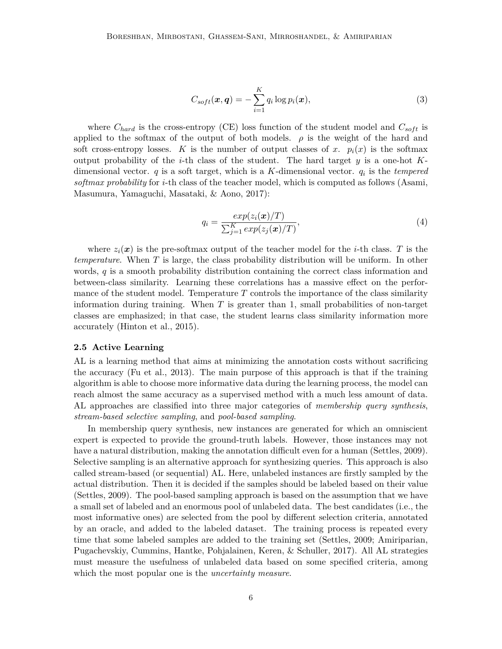$$
C_{soft}(\boldsymbol{x}, \boldsymbol{q}) = -\sum_{i=1}^{K} q_i \log p_i(\boldsymbol{x}), \qquad (3)
$$

where  $C_{hard}$  is the cross-entropy (CE) loss function of the student model and  $C_{soft}$  is applied to the softmax of the output of both models.  $\rho$  is the weight of the hard and soft cross-entropy losses. *K* is the number of output classes of *x*.  $p_i(x)$  is the softmax output probability of the *i*-th class of the student. The hard target *y* is a one-hot *K*dimensional vector. *q* is a soft target, which is a *K*-dimensional vector. *q<sup>i</sup>* is the *tempered softmax probability* for *i*-th class of the teacher model, which is computed as follows (Asami, Masumura, Yamaguchi, Masataki, & Aono, 2017):

$$
q_i = \frac{\exp(z_i(\boldsymbol{x})/T)}{\sum_{j=1}^{K} \exp(z_j(\boldsymbol{x})/T)},
$$
\n(4)

where  $z_i(x)$  is the pre-softmax output of the teacher model for the *i*-th class. *T* is the *temperature*. When *T* is large, the class probability distribution will be uniform. In other words, *q* is a smooth probability distribution containing the correct class information and between-class similarity. Learning these correlations has a massive effect on the performance of the student model. Temperature *T* controls the importance of the class similarity information during training. When *T* is greater than 1, small probabilities of non-target classes are emphasized; in that case, the student learns class similarity information more accurately (Hinton et al., 2015).

#### **2.5 Active Learning**

AL is a learning method that aims at minimizing the annotation costs without sacrificing the accuracy (Fu et al., 2013). The main purpose of this approach is that if the training algorithm is able to choose more informative data during the learning process, the model can reach almost the same accuracy as a supervised method with a much less amount of data. AL approaches are classified into three major categories of *membership query synthesis*, *stream-based selective sampling*, and *pool-based sampling*.

In membership query synthesis, new instances are generated for which an omniscient expert is expected to provide the ground-truth labels. However, those instances may not have a natural distribution, making the annotation difficult even for a human (Settles, 2009). Selective sampling is an alternative approach for synthesizing queries. This approach is also called stream-based (or sequential) AL. Here, unlabeled instances are firstly sampled by the actual distribution. Then it is decided if the samples should be labeled based on their value (Settles, 2009). The pool-based sampling approach is based on the assumption that we have a small set of labeled and an enormous pool of unlabeled data. The best candidates (i.e., the most informative ones) are selected from the pool by different selection criteria, annotated by an oracle, and added to the labeled dataset. The training process is repeated every time that some labeled samples are added to the training set (Settles, 2009; Amiriparian, Pugachevskiy, Cummins, Hantke, Pohjalainen, Keren, & Schuller, 2017). All AL strategies must measure the usefulness of unlabeled data based on some specified criteria, among which the most popular one is the *uncertainty measure*.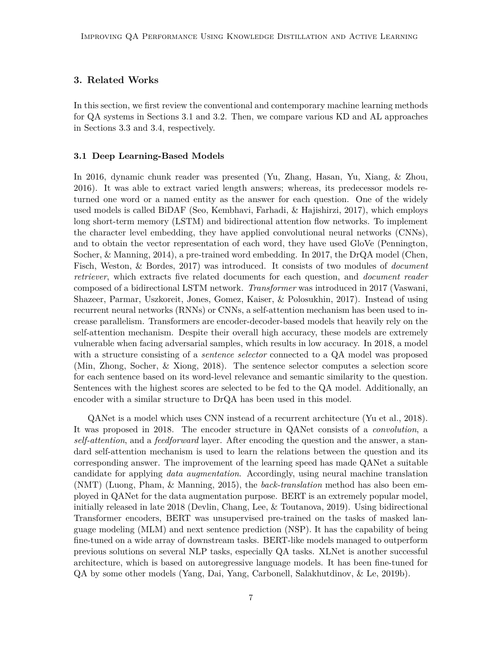## **3. Related Works**

In this section, we first review the conventional and contemporary machine learning methods for QA systems in Sections 3.1 and 3.2. Then, we compare various KD and AL approaches in Sections 3.3 and 3.4, respectively.

#### **3.1 Deep Learning-Based Models**

In 2016, dynamic chunk reader was presented (Yu, Zhang, Hasan, Yu, Xiang, & Zhou, 2016). It was able to extract varied length answers; whereas, its predecessor models returned one word or a named entity as the answer for each question. One of the widely used models is called BiDAF (Seo, Kembhavi, Farhadi, & Hajishirzi, 2017), which employs long short-term memory (LSTM) and bidirectional attention flow networks. To implement the character level embedding, they have applied convolutional neural networks (CNNs), and to obtain the vector representation of each word, they have used GloVe (Pennington, Socher, & Manning, 2014), a pre-trained word embedding. In 2017, the DrQA model (Chen, Fisch, Weston, & Bordes, 2017) was introduced. It consists of two modules of *document retriever*, which extracts five related documents for each question, and *document reader* composed of a bidirectional LSTM network. *Transformer* was introduced in 2017 (Vaswani, Shazeer, Parmar, Uszkoreit, Jones, Gomez, Kaiser, & Polosukhin, 2017). Instead of using recurrent neural networks (RNNs) or CNNs, a self-attention mechanism has been used to increase parallelism. Transformers are encoder-decoder-based models that heavily rely on the self-attention mechanism. Despite their overall high accuracy, these models are extremely vulnerable when facing adversarial samples, which results in low accuracy. In 2018, a model with a structure consisting of a *sentence selector* connected to a QA model was proposed (Min, Zhong, Socher, & Xiong, 2018). The sentence selector computes a selection score for each sentence based on its word-level relevance and semantic similarity to the question. Sentences with the highest scores are selected to be fed to the QA model. Additionally, an encoder with a similar structure to DrQA has been used in this model.

QANet is a model which uses CNN instead of a recurrent architecture (Yu et al., 2018). It was proposed in 2018. The encoder structure in QANet consists of a *convolution*, a *self-attention*, and a *feedforward* layer. After encoding the question and the answer, a standard self-attention mechanism is used to learn the relations between the question and its corresponding answer. The improvement of the learning speed has made QANet a suitable candidate for applying *data augmentation*. Accordingly, using neural machine translation (NMT) (Luong, Pham, & Manning, 2015), the *back-translation* method has also been employed in QANet for the data augmentation purpose. BERT is an extremely popular model, initially released in late 2018 (Devlin, Chang, Lee, & Toutanova, 2019). Using bidirectional Transformer encoders, BERT was unsupervised pre-trained on the tasks of masked language modeling (MLM) and next sentence prediction (NSP). It has the capability of being fine-tuned on a wide array of downstream tasks. BERT-like models managed to outperform previous solutions on several NLP tasks, especially QA tasks. XLNet is another successful architecture, which is based on autoregressive language models. It has been fine-tuned for QA by some other models (Yang, Dai, Yang, Carbonell, Salakhutdinov, & Le, 2019b).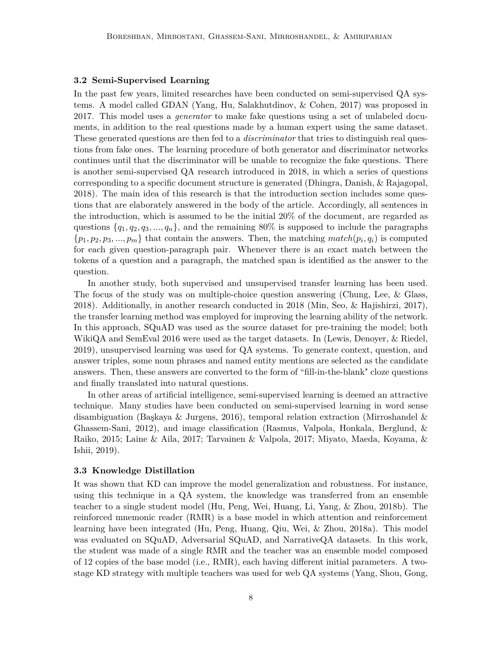#### **3.2 Semi-Supervised Learning**

In the past few years, limited researches have been conducted on semi-supervised QA systems. A model called GDAN (Yang, Hu, Salakhutdinov, & Cohen, 2017) was proposed in 2017. This model uses a *generator* to make fake questions using a set of unlabeled documents, in addition to the real questions made by a human expert using the same dataset. These generated questions are then fed to a *discriminator* that tries to distinguish real questions from fake ones. The learning procedure of both generator and discriminator networks continues until that the discriminator will be unable to recognize the fake questions. There is another semi-supervised QA research introduced in 2018, in which a series of questions corresponding to a specific document structure is generated (Dhingra, Danish, & Rajagopal, 2018). The main idea of this research is that the introduction section includes some questions that are elaborately answered in the body of the article. Accordingly, all sentences in the introduction, which is assumed to be the initial 20% of the document, are regarded as questions  $\{q_1, q_2, q_3, ..., q_n\}$ , and the remaining 80% is supposed to include the paragraphs  $\{p_1, p_2, p_3, \ldots, p_m\}$  that contain the answers. Then, the matching *match*( $p_i, q_i$ ) is computed for each given question-paragraph pair. Whenever there is an exact match between the tokens of a question and a paragraph, the matched span is identified as the answer to the question.

In another study, both supervised and unsupervised transfer learning has been used. The focus of the study was on multiple-choice question answering (Chung, Lee, & Glass, 2018). Additionally, in another research conducted in 2018 (Min, Seo, & Hajishirzi, 2017), the transfer learning method was employed for improving the learning ability of the network. In this approach, SQuAD was used as the source dataset for pre-training the model; both WikiQA and SemEval 2016 were used as the target datasets. In (Lewis, Denoyer, & Riedel, 2019), unsupervised learning was used for QA systems. To generate context, question, and answer triples, some noun phrases and named entity mentions are selected as the candidate answers. Then, these answers are converted to the form of "fill-in-the-blank" cloze questions and finally translated into natural questions.

In other areas of artificial intelligence, semi-supervised learning is deemed an attractive technique. Many studies have been conducted on semi-supervised learning in word sense disambiguation (Başkaya & Jurgens, 2016), temporal relation extraction (Mirroshandel & Ghassem-Sani, 2012), and image classification (Rasmus, Valpola, Honkala, Berglund, & Raiko, 2015; Laine & Aila, 2017; Tarvainen & Valpola, 2017; Miyato, Maeda, Koyama, & Ishii, 2019).

#### **3.3 Knowledge Distillation**

It was shown that KD can improve the model generalization and robustness. For instance, using this technique in a QA system, the knowledge was transferred from an ensemble teacher to a single student model (Hu, Peng, Wei, Huang, Li, Yang, & Zhou, 2018b). The reinforced mnemonic reader (RMR) is a base model in which attention and reinforcement learning have been integrated (Hu, Peng, Huang, Qiu, Wei, & Zhou, 2018a). This model was evaluated on SQuAD, Adversarial SQuAD, and NarrativeQA datasets. In this work, the student was made of a single RMR and the teacher was an ensemble model composed of 12 copies of the base model (i.e., RMR), each having different initial parameters. A twostage KD strategy with multiple teachers was used for web QA systems (Yang, Shou, Gong,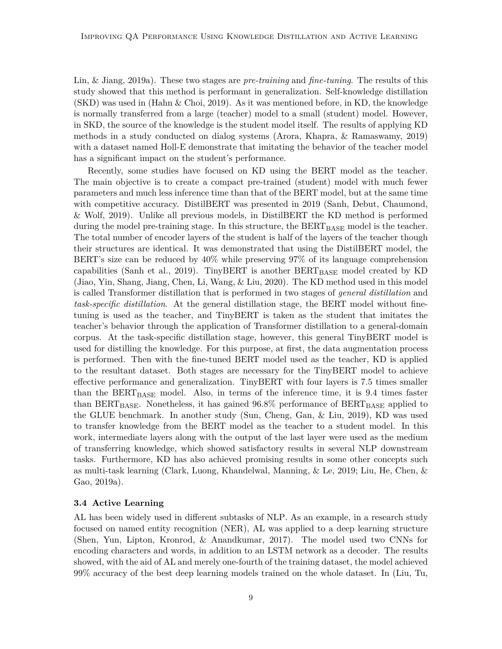Lin, & Jiang, 2019a). These two stages are *pre-training* and *fine-tuning*. The results of this study showed that this method is performant in generalization. Self-knowledge distillation (SKD) was used in (Hahn & Choi, 2019). As it was mentioned before, in KD, the knowledge is normally transferred from a large (teacher) model to a small (student) model. However, in SKD, the source of the knowledge is the student model itself. The results of applying KD methods in a study conducted on dialog systems (Arora, Khapra, & Ramaswamy, 2019) with a dataset named Holl-E demonstrate that imitating the behavior of the teacher model has a significant impact on the student's performance.

Recently, some studies have focused on KD using the BERT model as the teacher. The main objective is to create a compact pre-trained (student) model with much fewer parameters and much less inference time than that of the BERT model, but at the same time with competitive accuracy. DistilBERT was presented in 2019 (Sanh, Debut, Chaumond, & Wolf, 2019). Unlike all previous models, in DistilBERT the KD method is performed during the model pre-training stage. In this structure, the  $BERT_{BASE}$  model is the teacher. The total number of encoder layers of the student is half of the layers of the teacher though their structures are identical. It was demonstrated that using the DistilBERT model, the BERT's size can be reduced by 40% while preserving 97% of its language comprehension capabilities (Sanh et al., 2019). TinyBERT is another  $BERT_{BASE}$  model created by KD (Jiao, Yin, Shang, Jiang, Chen, Li, Wang, & Liu, 2020). The KD method used in this model is called Transformer distillation that is performed in two stages of *general distillation* and *task-specific distillation*. At the general distillation stage, the BERT model without finetuning is used as the teacher, and TinyBERT is taken as the student that imitates the teacher's behavior through the application of Transformer distillation to a general-domain corpus. At the task-specific distillation stage, however, this general TinyBERT model is used for distilling the knowledge. For this purpose, at first, the data augmentation process is performed. Then with the fine-tuned BERT model used as the teacher, KD is applied to the resultant dataset. Both stages are necessary for the TinyBERT model to achieve effective performance and generalization. TinyBERT with four layers is 7.5 times smaller than the  $BERT_{BASE}$  model. Also, in terms of the inference time, it is 9.4 times faster than  $BERT_{BASE}$ . Nonetheless, it has gained  $96.8\%$  performance of  $BERT_{BASE}$  applied to the GLUE benchmark. In another study (Sun, Cheng, Gan, & Liu, 2019), KD was used to transfer knowledge from the BERT model as the teacher to a student model. In this work, intermediate layers along with the output of the last layer were used as the medium of transferring knowledge, which showed satisfactory results in several NLP downstream tasks. Furthermore, KD has also achieved promising results in some other concepts such as multi-task learning (Clark, Luong, Khandelwal, Manning, & Le, 2019; Liu, He, Chen, & Gao, 2019a).

#### **3.4 Active Learning**

AL has been widely used in different subtasks of NLP. As an example, in a research study focused on named entity recognition (NER), AL was applied to a deep learning structure (Shen, Yun, Lipton, Kronrod, & Anandkumar, 2017). The model used two CNNs for encoding characters and words, in addition to an LSTM network as a decoder. The results showed, with the aid of AL and merely one-fourth of the training dataset, the model achieved 99% accuracy of the best deep learning models trained on the whole dataset. In (Liu, Tu,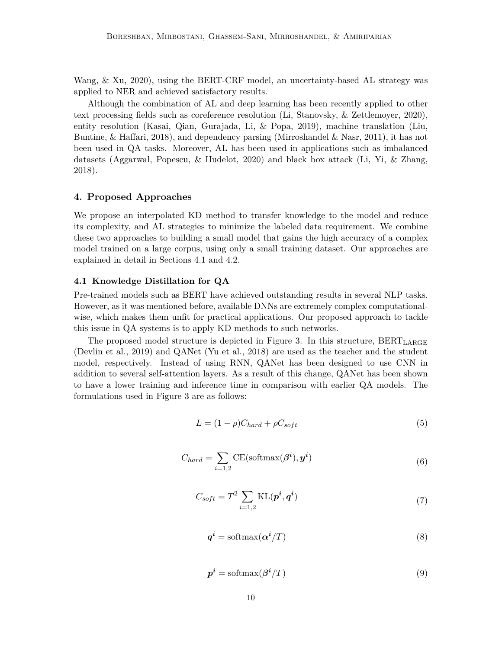Wang, & Xu, 2020), using the BERT-CRF model, an uncertainty-based AL strategy was applied to NER and achieved satisfactory results.

Although the combination of AL and deep learning has been recently applied to other text processing fields such as coreference resolution (Li, Stanovsky, & Zettlemoyer, 2020), entity resolution (Kasai, Qian, Gurajada, Li, & Popa, 2019), machine translation (Liu, Buntine, & Haffari, 2018), and dependency parsing (Mirroshandel & Nasr, 2011), it has not been used in QA tasks. Moreover, AL has been used in applications such as imbalanced datasets (Aggarwal, Popescu, & Hudelot, 2020) and black box attack (Li, Yi, & Zhang, 2018).

### **4. Proposed Approaches**

We propose an interpolated KD method to transfer knowledge to the model and reduce its complexity, and AL strategies to minimize the labeled data requirement. We combine these two approaches to building a small model that gains the high accuracy of a complex model trained on a large corpus, using only a small training dataset. Our approaches are explained in detail in Sections 4.1 and 4.2.

#### **4.1 Knowledge Distillation for QA**

Pre-trained models such as BERT have achieved outstanding results in several NLP tasks. However, as it was mentioned before, available DNNs are extremely complex computationalwise, which makes them unfit for practical applications. Our proposed approach to tackle this issue in QA systems is to apply KD methods to such networks.

The proposed model structure is depicted in Figure 3. In this structure,  $BERT_{LARGE}$ (Devlin et al., 2019) and QANet (Yu et al., 2018) are used as the teacher and the student model, respectively. Instead of using RNN, QANet has been designed to use CNN in addition to several self-attention layers. As a result of this change, QANet has been shown to have a lower training and inference time in comparison with earlier QA models. The formulations used in Figure 3 are as follows:

$$
L = (1 - \rho)C_{hard} + \rho C_{soft} \tag{5}
$$

$$
C_{hard} = \sum_{i=1,2} \text{CE}(\text{softmax}(\boldsymbol{\beta}^i), \boldsymbol{y}^i)
$$
(6)

$$
C_{soft} = T^2 \sum_{i=1,2} \text{KL}(\boldsymbol{p}^i, \boldsymbol{q}^i)
$$
\n(7)

$$
q^i = \text{softmax}(\alpha^i/T) \tag{8}
$$

$$
p^i = \text{softmax}(\beta^i/T) \tag{9}
$$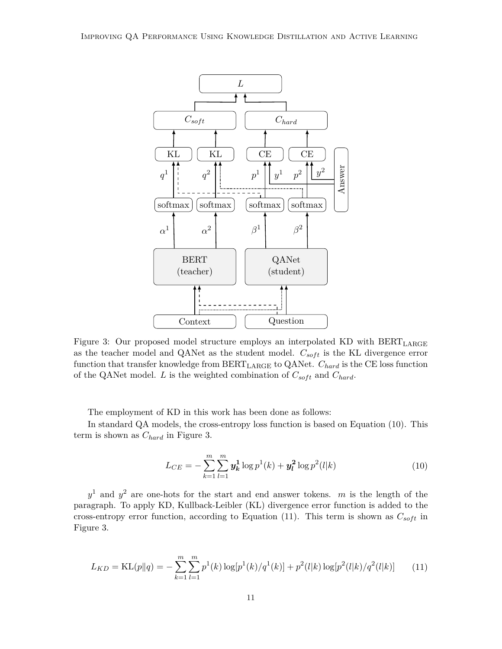

Figure 3: Our proposed model structure employs an interpolated KD with BERT<sub>LARGE</sub> as the teacher model and QANet as the student model.  $C_{soft}$  is the KL divergence error function that transfer knowledge from BERTLARGE to QANet. *Chard* is the CE loss function of the QANet model. *L* is the weighted combination of  $C_{soft}$  and  $C_{hard}$ .

The employment of KD in this work has been done as follows:

In standard QA models, the cross-entropy loss function is based on Equation (10). This term is shown as *Chard* in Figure 3.

$$
L_{CE} = -\sum_{k=1}^{m} \sum_{l=1}^{m} y_k^1 \log p^1(k) + y_l^2 \log p^2(l|k)
$$
 (10)

*y* <sup>1</sup> and *y* <sup>2</sup> are one-hots for the start and end answer tokens. *m* is the length of the paragraph. To apply KD, Kullback-Leibler (KL) divergence error function is added to the cross-entropy error function, according to Equation (11). This term is shown as  $C_{soft}$  in Figure 3.

$$
L_{KD} = \text{KL}(p||q) = -\sum_{k=1}^{m} \sum_{l=1}^{m} p^1(k) \log[p^1(k)/q^1(k)] + p^2(l|k) \log[p^2(l|k)/q^2(l|k)] \tag{11}
$$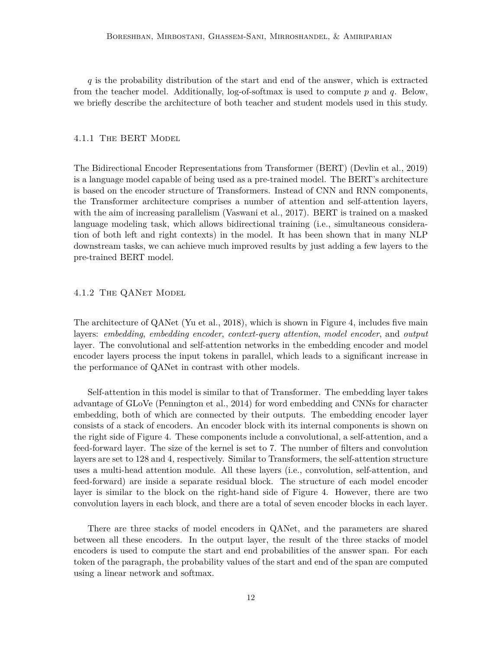*q* is the probability distribution of the start and end of the answer, which is extracted from the teacher model. Additionally, log-of-softmax is used to compute *p* and *q*. Below, we briefly describe the architecture of both teacher and student models used in this study.

#### 4.1.1 The BERT Model

The Bidirectional Encoder Representations from Transformer (BERT) (Devlin et al., 2019) is a language model capable of being used as a pre-trained model. The BERT's architecture is based on the encoder structure of Transformers. Instead of CNN and RNN components, the Transformer architecture comprises a number of attention and self-attention layers, with the aim of increasing parallelism (Vaswani et al., 2017). BERT is trained on a masked language modeling task, which allows bidirectional training (i.e., simultaneous consideration of both left and right contexts) in the model. It has been shown that in many NLP downstream tasks, we can achieve much improved results by just adding a few layers to the pre-trained BERT model.

## 4.1.2 The QANet Model

The architecture of QANet (Yu et al., 2018), which is shown in Figure 4, includes five main layers: *embedding*, *embedding encoder*, *context-query attention*, *model encoder*, and *output* layer. The convolutional and self-attention networks in the embedding encoder and model encoder layers process the input tokens in parallel, which leads to a significant increase in the performance of QANet in contrast with other models.

Self-attention in this model is similar to that of Transformer. The embedding layer takes advantage of GLoVe (Pennington et al., 2014) for word embedding and CNNs for character embedding, both of which are connected by their outputs. The embedding encoder layer consists of a stack of encoders. An encoder block with its internal components is shown on the right side of Figure 4. These components include a convolutional, a self-attention, and a feed-forward layer. The size of the kernel is set to 7. The number of filters and convolution layers are set to 128 and 4, respectively. Similar to Transformers, the self-attention structure uses a multi-head attention module. All these layers (i.e., convolution, self-attention, and feed-forward) are inside a separate residual block. The structure of each model encoder layer is similar to the block on the right-hand side of Figure 4. However, there are two convolution layers in each block, and there are a total of seven encoder blocks in each layer.

There are three stacks of model encoders in QANet, and the parameters are shared between all these encoders. In the output layer, the result of the three stacks of model encoders is used to compute the start and end probabilities of the answer span. For each token of the paragraph, the probability values of the start and end of the span are computed using a linear network and softmax.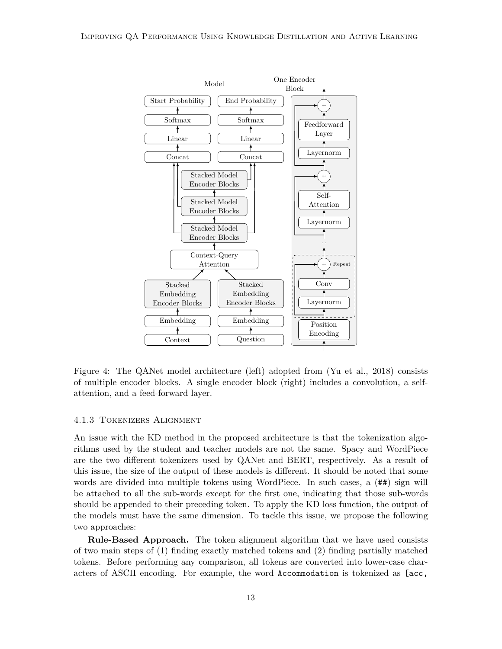

Figure 4: The QANet model architecture (left) adopted from (Yu et al., 2018) consists of multiple encoder blocks. A single encoder block (right) includes a convolution, a selfattention, and a feed-forward layer.

#### 4.1.3 Tokenizers Alignment

An issue with the KD method in the proposed architecture is that the tokenization algorithms used by the student and teacher models are not the same. Spacy and WordPiece are the two different tokenizers used by QANet and BERT, respectively. As a result of this issue, the size of the output of these models is different. It should be noted that some words are divided into multiple tokens using WordPiece. In such cases, a  $(#*)$  sign will be attached to all the sub-words except for the first one, indicating that those sub-words should be appended to their preceding token. To apply the KD loss function, the output of the models must have the same dimension. To tackle this issue, we propose the following two approaches:

**Rule-Based Approach.** The token alignment algorithm that we have used consists of two main steps of (1) finding exactly matched tokens and (2) finding partially matched tokens. Before performing any comparison, all tokens are converted into lower-case characters of ASCII encoding. For example, the word Accommodation is tokenized as [acc,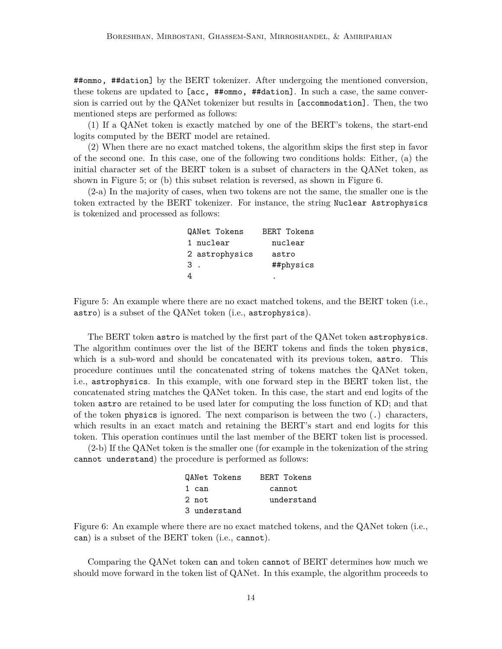##ommo, ##dation] by the BERT tokenizer. After undergoing the mentioned conversion, these tokens are updated to [acc, ##ommo, ##dation]. In such a case, the same conversion is carried out by the QANet tokenizer but results in [accommodation]. Then, the two mentioned steps are performed as follows:

(1) If a QANet token is exactly matched by one of the BERT's tokens, the start-end logits computed by the BERT model are retained.

(2) When there are no exact matched tokens, the algorithm skips the first step in favor of the second one. In this case, one of the following two conditions holds: Either, (a) the initial character set of the BERT token is a subset of characters in the QANet token, as shown in Figure 5; or (b) this subset relation is reversed, as shown in Figure 6.

(2-a) In the majority of cases, when two tokens are not the same, the smaller one is the token extracted by the BERT tokenizer. For instance, the string Nuclear Astrophysics is tokenized and processed as follows:

| QANet Tokens   | <b>BERT Tokens</b> |
|----------------|--------------------|
| 1 nuclear      | nuclear            |
| 2 astrophysics | astro              |
| 3              | ##physics          |
| 4              |                    |
|                |                    |

Figure 5: An example where there are no exact matched tokens, and the BERT token (i.e., astro) is a subset of the QANet token (i.e., astrophysics).

The BERT token astro is matched by the first part of the QANet token astrophysics. The algorithm continues over the list of the BERT tokens and finds the token physics, which is a sub-word and should be concatenated with its previous token, astro. This procedure continues until the concatenated string of tokens matches the QANet token, i.e., astrophysics. In this example, with one forward step in the BERT token list, the concatenated string matches the QANet token. In this case, the start and end logits of the token astro are retained to be used later for computing the loss function of KD; and that of the token physics is ignored. The next comparison is between the two (.) characters, which results in an exact match and retaining the BERT's start and end logits for this token. This operation continues until the last member of the BERT token list is processed.

(2-b) If the QANet token is the smaller one (for example in the tokenization of the string cannot understand) the procedure is performed as follows:

| QANet Tokens | BERT Tokens |
|--------------|-------------|
| 1 can        | cannot      |
| 2 not        | understand  |
| 3 understand |             |

Figure 6: An example where there are no exact matched tokens, and the QANet token (i.e., can) is a subset of the BERT token (i.e., cannot).

Comparing the QANet token can and token cannot of BERT determines how much we should move forward in the token list of QANet. In this example, the algorithm proceeds to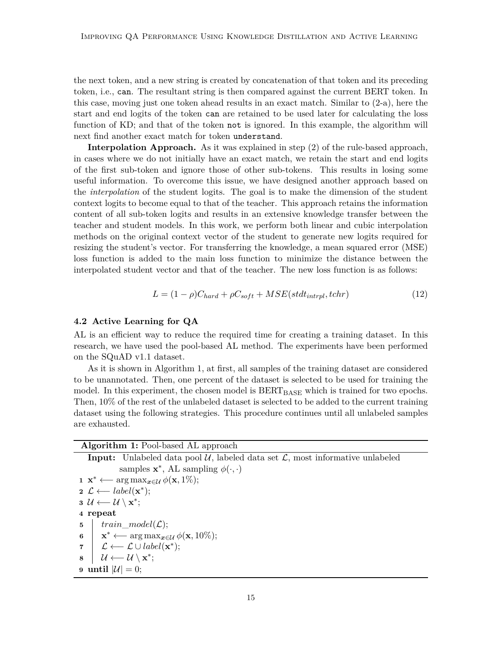the next token, and a new string is created by concatenation of that token and its preceding token, i.e., can. The resultant string is then compared against the current BERT token. In this case, moving just one token ahead results in an exact match. Similar to (2-a), here the start and end logits of the token can are retained to be used later for calculating the loss function of KD; and that of the token not is ignored. In this example, the algorithm will next find another exact match for token understand.

**Interpolation Approach.** As it was explained in step (2) of the rule-based approach, in cases where we do not initially have an exact match, we retain the start and end logits of the first sub-token and ignore those of other sub-tokens. This results in losing some useful information. To overcome this issue, we have designed another approach based on the *interpolation* of the student logits. The goal is to make the dimension of the student context logits to become equal to that of the teacher. This approach retains the information content of all sub-token logits and results in an extensive knowledge transfer between the teacher and student models. In this work, we perform both linear and cubic interpolation methods on the original context vector of the student to generate new logits required for resizing the student's vector. For transferring the knowledge, a mean squared error (MSE) loss function is added to the main loss function to minimize the distance between the interpolated student vector and that of the teacher. The new loss function is as follows:

$$
L = (1 - \rho)C_{hard} + \rho C_{soft} + MSE(stdt_{intrpl}, tchr)
$$
\n(12)

#### **4.2 Active Learning for QA**

AL is an efficient way to reduce the required time for creating a training dataset. In this research, we have used the pool-based AL method. The experiments have been performed on the SQuAD v1.1 dataset.

As it is shown in Algorithm 1, at first, all samples of the training dataset are considered to be unannotated. Then, one percent of the dataset is selected to be used for training the model. In this experiment, the chosen model is  $BERT_{BASE}$  which is trained for two epochs. Then, 10% of the rest of the unlabeled dataset is selected to be added to the current training dataset using the following strategies. This procedure continues until all unlabeled samples are exhausted.

## **Algorithm 1:** Pool-based AL approach

**Input:** Unlabeled data pool  $\mathcal{U}$ , labeled data set  $\mathcal{L}$ , most informative unlabeled samples  $\mathbf{x}^*$ , AL sampling  $\phi(\cdot, \cdot)$ **1**  $\mathbf{x}^*$  ← arg max<sub>*x*∈U</sub>  $\phi(\mathbf{x}, 1\%)$ ; 2  $\mathcal{L} \longleftarrow label(\mathbf{x}^*)$ ; **3**  $\mathcal{U} \longleftarrow \mathcal{U} \setminus \mathbf{x}^*$ ; **4 repeat 5** *train*\_*model*(L); **6**  $\vert \mathbf{x}^* \leftarrow \arg \max_{\mathbf{x} \in \mathcal{U}} \phi(\mathbf{x}, 10\%);$  $\mathcal{I} \left| \right. \mathcal{L} \longleftarrow \mathcal{L} \cup label(\mathbf{x}^*)$ ; 8 U ←− U \ **x**<sup>\*</sup>; **9 until**  $|\mathcal{U}| = 0$ ;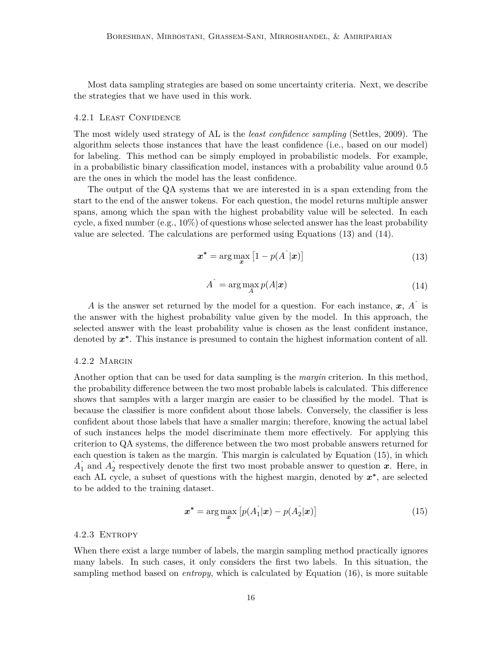Most data sampling strategies are based on some uncertainty criteria. Next, we describe the strategies that we have used in this work.

#### 4.2.1 Least Confidence

The most widely used strategy of AL is the *least confidence sampling* (Settles, 2009). The algorithm selects those instances that have the least confidence (i.e., based on our model) for labeling. This method can be simply employed in probabilistic models. For example, in a probabilistic binary classification model, instances with a probability value around 0.5 are the ones in which the model has the least confidence.

The output of the QA systems that we are interested in is a span extending from the start to the end of the answer tokens. For each question, the model returns multiple answer spans, among which the span with the highest probability value will be selected. In each cycle, a fixed number (e.g.,  $10\%$ ) of questions whose selected answer has the least probability value are selected. The calculations are performed using Equations (13) and (14).

$$
\boldsymbol{x}^* = \arg\max_{\boldsymbol{x}} \left[ 1 - p(\hat{A}^\top \vert \boldsymbol{x}) \right] \tag{13}
$$

$$
A^{\hat{}} = \arg\max_{A} p(A|\mathbf{x})
$$
\n(14)

*A* is the answer set returned by the model for a question. For each instance, *x*, *A*<sup>ˆ</sup> is the answer with the highest probability value given by the model. In this approach, the selected answer with the least probability value is chosen as the least confident instance, denoted by  $x^*$ . This instance is presumed to contain the highest information content of all.

#### 4.2.2 Margin

Another option that can be used for data sampling is the *margin* criterion. In this method, the probability difference between the two most probable labels is calculated. This difference shows that samples with a larger margin are easier to be classified by the model. That is because the classifier is more confident about those labels. Conversely, the classifier is less confident about those labels that have a smaller margin; therefore, knowing the actual label of such instances helps the model discriminate them more effectively. For applying this criterion to QA systems, the difference between the two most probable answers returned for each question is taken as the margin. This margin is calculated by Equation (15), in which  $\hat{A}_1$  and  $\hat{A}_2$  respectively denote the first two most probable answer to question *x*. Here, in each AL cycle, a subset of questions with the highest margin, denoted by *x* **∗** , are selected to be added to the training dataset.

$$
\boldsymbol{x}^* = \arg\max_{\boldsymbol{x}} \left[ p(A_1^\top | \boldsymbol{x}) - p(A_2^\top | \boldsymbol{x}) \right] \tag{15}
$$

#### 4.2.3 Entropy

When there exist a large number of labels, the margin sampling method practically ignores many labels. In such cases, it only considers the first two labels. In this situation, the sampling method based on *entropy*, which is calculated by Equation (16), is more suitable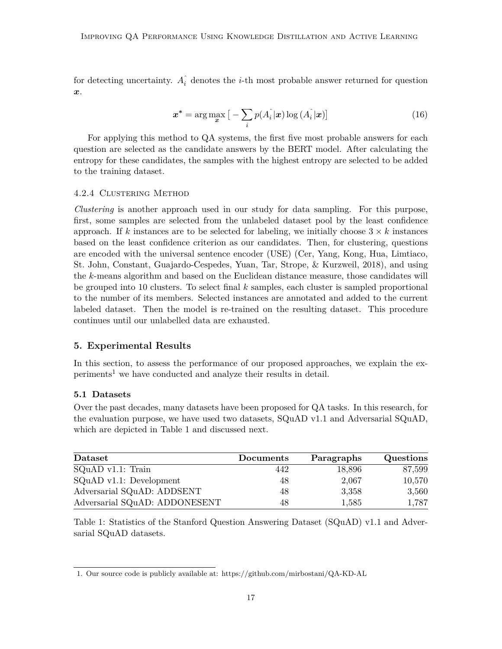for detecting uncertainty.  $A_i^{\hat{i}}$  denotes the *i*-th most probable answer returned for question *x*.

$$
\boldsymbol{x}^* = \arg\max_{\boldsymbol{x}} \left[ -\sum_{i} p(A_i|\boldsymbol{x}) \log(A_i|\boldsymbol{x}) \right]
$$
(16)

For applying this method to QA systems, the first five most probable answers for each question are selected as the candidate answers by the BERT model. After calculating the entropy for these candidates, the samples with the highest entropy are selected to be added to the training dataset.

#### 4.2.4 Clustering Method

*Clustering* is another approach used in our study for data sampling. For this purpose, first, some samples are selected from the unlabeled dataset pool by the least confidence approach. If k instances are to be selected for labeling, we initially choose  $3 \times k$  instances based on the least confidence criterion as our candidates. Then, for clustering, questions are encoded with the universal sentence encoder (USE) (Cer, Yang, Kong, Hua, Limtiaco, St. John, Constant, Guajardo-Cespedes, Yuan, Tar, Strope, & Kurzweil, 2018), and using the *k*-means algorithm and based on the Euclidean distance measure, those candidates will be grouped into 10 clusters. To select final *k* samples, each cluster is sampled proportional to the number of its members. Selected instances are annotated and added to the current labeled dataset. Then the model is re-trained on the resulting dataset. This procedure continues until our unlabelled data are exhausted.

### **5. Experimental Results**

In this section, to assess the performance of our proposed approaches, we explain the ex $periments<sup>1</sup>$  we have conducted and analyze their results in detail.

#### **5.1 Datasets**

Over the past decades, many datasets have been proposed for QA tasks. In this research, for the evaluation purpose, we have used two datasets, SQuAD v1.1 and Adversarial SQuAD, which are depicted in Table 1 and discussed next.

| Dataset                       | <b>Documents</b> | Paragraphs | Questions |
|-------------------------------|------------------|------------|-----------|
| $SQuAD$ v1.1: Train           | 442              | 18,896     | 87,599    |
| $SQuAD$ v1.1: Development     | 48               | 2,067      | 10,570    |
| Adversarial SQuAD: ADDSENT    | 48               | 3,358      | 3,560     |
| Adversarial SQuAD: ADDONESENT | 48               | 1,585      | 1,787     |

Table 1: Statistics of the Stanford Question Answering Dataset (SQuAD) v1.1 and Adversarial SQuAD datasets.

<sup>1.</sup> Our source code is publicly available at: https://github.com/mirbostani/QA-KD-AL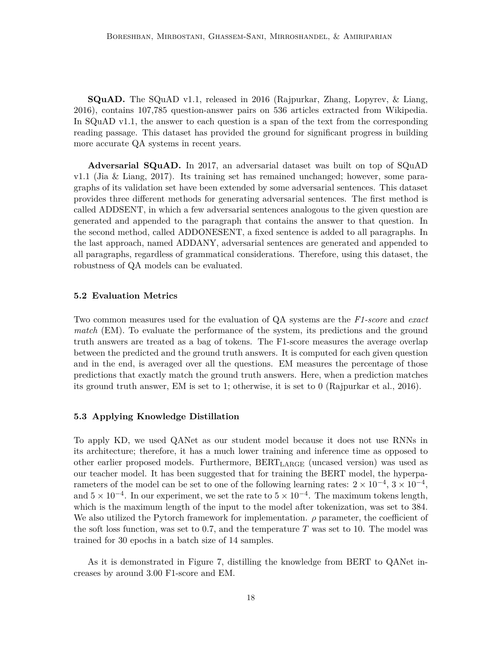**SQuAD.** The SQuAD v1.1, released in 2016 (Rajpurkar, Zhang, Lopyrev, & Liang, 2016), contains 107,785 question-answer pairs on 536 articles extracted from Wikipedia. In SQuAD v1.1, the answer to each question is a span of the text from the corresponding reading passage. This dataset has provided the ground for significant progress in building more accurate QA systems in recent years.

**Adversarial SQuAD.** In 2017, an adversarial dataset was built on top of SQuAD v1.1 (Jia & Liang, 2017). Its training set has remained unchanged; however, some paragraphs of its validation set have been extended by some adversarial sentences. This dataset provides three different methods for generating adversarial sentences. The first method is called ADDSENT, in which a few adversarial sentences analogous to the given question are generated and appended to the paragraph that contains the answer to that question. In the second method, called ADDONESENT, a fixed sentence is added to all paragraphs. In the last approach, named ADDANY, adversarial sentences are generated and appended to all paragraphs, regardless of grammatical considerations. Therefore, using this dataset, the robustness of QA models can be evaluated.

#### **5.2 Evaluation Metrics**

Two common measures used for the evaluation of QA systems are the *F1-score* and *exact match* (EM). To evaluate the performance of the system, its predictions and the ground truth answers are treated as a bag of tokens. The F1-score measures the average overlap between the predicted and the ground truth answers. It is computed for each given question and in the end, is averaged over all the questions. EM measures the percentage of those predictions that exactly match the ground truth answers. Here, when a prediction matches its ground truth answer, EM is set to 1; otherwise, it is set to 0 (Rajpurkar et al., 2016).

#### **5.3 Applying Knowledge Distillation**

To apply KD, we used QANet as our student model because it does not use RNNs in its architecture; therefore, it has a much lower training and inference time as opposed to other earlier proposed models. Furthermore, BERTLARGE (uncased version) was used as our teacher model. It has been suggested that for training the BERT model, the hyperparameters of the model can be set to one of the following learning rates:  $2 \times 10^{-4}$ ,  $3 \times 10^{-4}$ , and  $5 \times 10^{-4}$ . In our experiment, we set the rate to  $5 \times 10^{-4}$ . The maximum tokens length, which is the maximum length of the input to the model after tokenization, was set to 384. We also utilized the Pytorch framework for implementation. *ρ* parameter, the coefficient of the soft loss function, was set to 0.7, and the temperature *T* was set to 10. The model was trained for 30 epochs in a batch size of 14 samples.

As it is demonstrated in Figure 7, distilling the knowledge from BERT to QANet increases by around 3.00 F1-score and EM.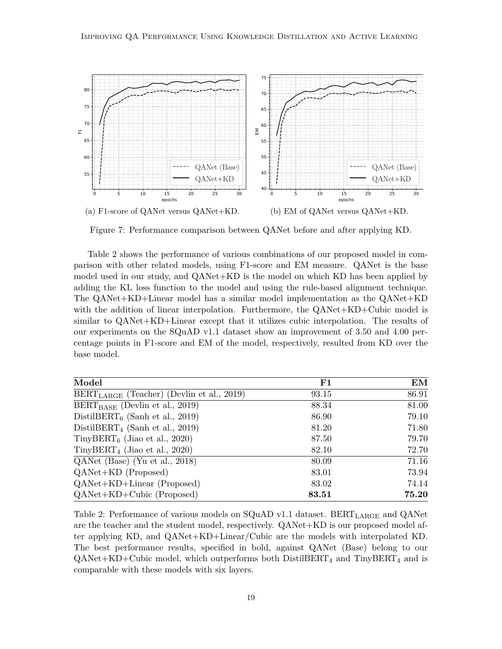

Figure 7: Performance comparison between QANet before and after applying KD.

Table 2 shows the performance of various combinations of our proposed model in comparison with other related models, using F1-score and EM measure. QANet is the base model used in our study, and QANet+KD is the model on which KD has been applied by adding the KL loss function to the model and using the rule-based alignment technique. The QANet+KD+Linear model has a similar model implementation as the QANet+KD with the addition of linear interpolation. Furthermore, the QANet+KD+Cubic model is similar to QANet+KD+Linear except that it utilizes cubic interpolation. The results of our experiments on the SQuAD v1.1 dataset show an improvement of 3.50 and 4.00 percentage points in F1-score and EM of the model, respectively, resulted from KD over the base model.

| Model                                          | ${\bf F1}$ | EM    |
|------------------------------------------------|------------|-------|
| $BERT_{LARGE}$ (Teacher) (Devlin et al., 2019) | 93.15      | 86.91 |
| $BERT_{BASE}$ (Devlin et al., 2019)            | 88.34      | 81.00 |
| DistilBERT <sub>6</sub> (Sanh et al., 2019)    | 86.90      | 79.10 |
| DistilBERT <sub>4</sub> (Sanh et al., 2019)    | 81.20      | 71.80 |
| TinyBERT <sub>6</sub> (Jiao et al., 2020)      | 87.50      | 79.70 |
| $Tiny BERT_4$ (Jiao et al., 2020)              | 82.10      | 72.70 |
| QANet (Base) (Yu et al., 2018)                 | 80.09      | 71.16 |
| QANet+KD (Proposed)                            | 83.01      | 73.94 |
| QANet+KD+Linear (Proposed)                     | 83.02      | 74.14 |
| $QANet+KD+Cubic$ (Proposed)                    | 83.51      | 75.20 |

Table 2: Performance of various models on  $SQuAD$  v1.1 dataset. BERT<sub>LARGE</sub> and  $QANet$ are the teacher and the student model, respectively. QANet+KD is our proposed model after applying KD, and QANet+KD+Linear/Cubic are the models with interpolated KD. The best performance results, specified in bold, against QANet (Base) belong to our  $\text{QANet+KD+Cubic model},$  which outperforms both DistilBERT<sub>4</sub> and TinyBERT<sub>4</sub> and is comparable with these models with six layers.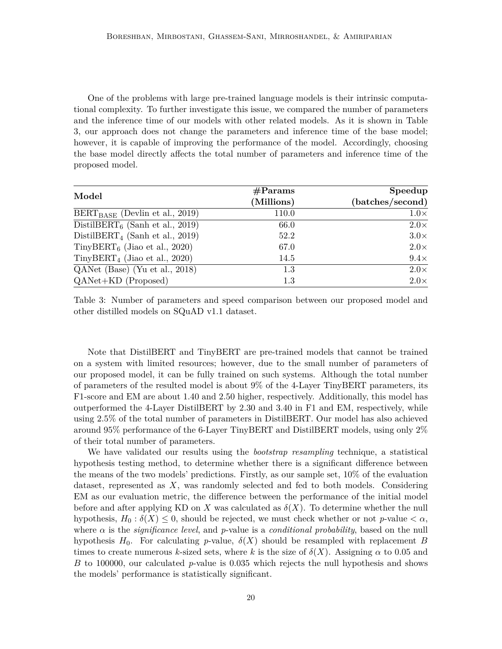One of the problems with large pre-trained language models is their intrinsic computational complexity. To further investigate this issue, we compared the number of parameters and the inference time of our models with other related models. As it is shown in Table 3, our approach does not change the parameters and inference time of the base model; however, it is capable of improving the performance of the model. Accordingly, choosing the base model directly affects the total number of parameters and inference time of the proposed model.

|                                             | $\#\text{Params}$ | Speedup          |
|---------------------------------------------|-------------------|------------------|
| Model                                       | (Millions)        | (batches/second) |
| $BERT_{BASE}$ (Devlin et al., 2019)         | 110.0             | $1.0\times$      |
| DistilBERT <sub>6</sub> (Sanh et al., 2019) | 66.0              | $2.0\times$      |
| DistilBERT <sub>4</sub> (Sanh et al., 2019) | 52.2              | $3.0\times$      |
| TinyBERT <sub>6</sub> (Jiao et al., 2020)   | 67.0              | $2.0\times$      |
| $Tiny BERT_4$ (Jiao et al., 2020)           | 14.5              | $9.4\times$      |
| QANet (Base) (Yu et al., 2018)              | 1.3               | $2.0\times$      |
| $QANet+KD$ (Proposed)                       | 1.3               | $2.0\times$      |

Table 3: Number of parameters and speed comparison between our proposed model and other distilled models on SQuAD v1.1 dataset.

Note that DistilBERT and TinyBERT are pre-trained models that cannot be trained on a system with limited resources; however, due to the small number of parameters of our proposed model, it can be fully trained on such systems. Although the total number of parameters of the resulted model is about 9% of the 4-Layer TinyBERT parameters, its F1-score and EM are about 1.40 and 2.50 higher, respectively. Additionally, this model has outperformed the 4-Layer DistilBERT by 2.30 and 3.40 in F1 and EM, respectively, while using 2.5% of the total number of parameters in DistilBERT. Our model has also achieved around 95% performance of the 6-Layer TinyBERT and DistilBERT models, using only 2% of their total number of parameters.

We have validated our results using the *bootstrap resampling* technique, a statistical hypothesis testing method, to determine whether there is a significant difference between the means of the two models' predictions. Firstly, as our sample set, 10% of the evaluation dataset, represented as *X*, was randomly selected and fed to both models. Considering EM as our evaluation metric, the difference between the performance of the initial model before and after applying KD on X was calculated as  $\delta(X)$ . To determine whether the null hypothesis,  $H_0: \delta(X) \leq 0$ , should be rejected, we must check whether or not *p*-value  $\lt \alpha$ , where  $\alpha$  is the *significance level*, and *p*-value is a *conditional probability*, based on the null hypothesis  $H_0$ . For calculating *p*-value,  $\delta(X)$  should be resampled with replacement *B* times to create numerous *k*-sized sets, where *k* is the size of  $\delta(X)$ . Assigning  $\alpha$  to 0.05 and *B* to 100000, our calculated *p*-value is 0*.*035 which rejects the null hypothesis and shows the models' performance is statistically significant.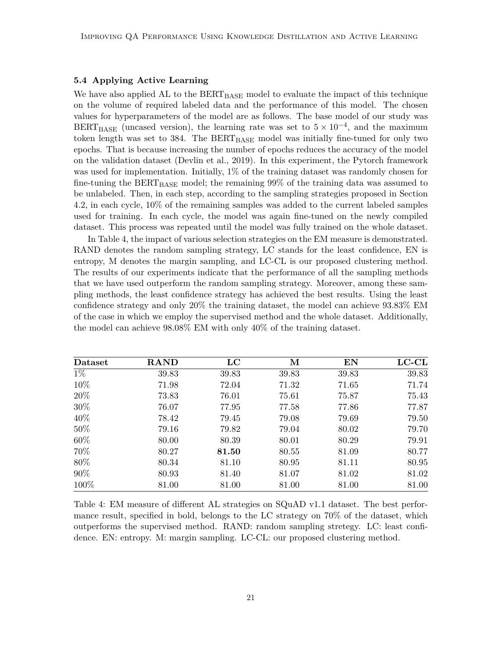## **5.4 Applying Active Learning**

We have also applied AL to the  $BERT_{BASE}$  model to evaluate the impact of this technique on the volume of required labeled data and the performance of this model. The chosen values for hyperparameters of the model are as follows. The base model of our study was  $BERT_{BASE}$  (uncased version), the learning rate was set to  $5 \times 10^{-4}$ , and the maximum token length was set to  $384$ . The  $BERT_{BASE}$  model was initially fine-tuned for only two epochs. That is because increasing the number of epochs reduces the accuracy of the model on the validation dataset (Devlin et al., 2019). In this experiment, the Pytorch framework was used for implementation. Initially, 1% of the training dataset was randomly chosen for fine-tuning the  $BERT_{BASE}$  model; the remaining 99% of the training data was assumed to be unlabeled. Then, in each step, according to the sampling strategies proposed in Section 4.2, in each cycle, 10% of the remaining samples was added to the current labeled samples used for training. In each cycle, the model was again fine-tuned on the newly compiled dataset. This process was repeated until the model was fully trained on the whole dataset.

In Table 4, the impact of various selection strategies on the EM measure is demonstrated. RAND denotes the random sampling strategy, LC stands for the least confidence, EN is entropy, M denotes the margin sampling, and LC-CL is our proposed clustering method. The results of our experiments indicate that the performance of all the sampling methods that we have used outperform the random sampling strategy. Moreover, among these sampling methods, the least confidence strategy has achieved the best results. Using the least confidence strategy and only 20% the training dataset, the model can achieve 93.83% EM of the case in which we employ the supervised method and the whole dataset. Additionally, the model can achieve 98.08% EM with only 40% of the training dataset.

| Dataset | <b>RAND</b> | $_{\rm LC}$ | М     | EN    | $_{\rm{LC-CL}}$ |
|---------|-------------|-------------|-------|-------|-----------------|
| $1\%$   | 39.83       | 39.83       | 39.83 | 39.83 | 39.83           |
| 10%     | 71.98       | 72.04       | 71.32 | 71.65 | 71.74           |
| 20%     | 73.83       | 76.01       | 75.61 | 75.87 | 75.43           |
| 30%     | 76.07       | 77.95       | 77.58 | 77.86 | 77.87           |
| 40\%    | 78.42       | 79.45       | 79.08 | 79.69 | 79.50           |
| 50%     | 79.16       | 79.82       | 79.04 | 80.02 | 79.70           |
| 60%     | 80.00       | 80.39       | 80.01 | 80.29 | 79.91           |
| 70%     | 80.27       | 81.50       | 80.55 | 81.09 | 80.77           |
| 80%     | 80.34       | 81.10       | 80.95 | 81.11 | 80.95           |
| 90%     | 80.93       | 81.40       | 81.07 | 81.02 | 81.02           |
| 100%    | 81.00       | 81.00       | 81.00 | 81.00 | 81.00           |

Table 4: EM measure of different AL strategies on SQuAD v1.1 dataset. The best performance result, specified in bold, belongs to the LC strategy on 70% of the dataset, which outperforms the supervised method. RAND: random sampling stretegy. LC: least confidence. EN: entropy. M: margin sampling. LC-CL: our proposed clustering method.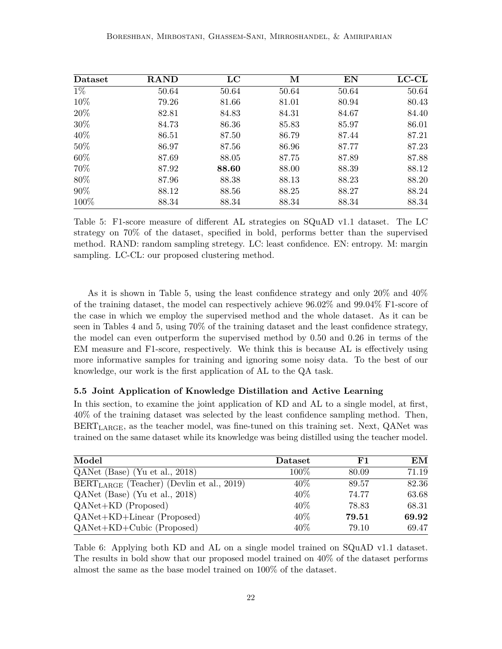| Dataset | <b>RAND</b> | $_{\rm LC}$ | М     | EN    | $_{\rm{LC-CL}}$ |
|---------|-------------|-------------|-------|-------|-----------------|
| $1\%$   | 50.64       | 50.64       | 50.64 | 50.64 | 50.64           |
| 10%     | 79.26       | 81.66       | 81.01 | 80.94 | 80.43           |
| 20%     | 82.81       | 84.83       | 84.31 | 84.67 | 84.40           |
| 30%     | 84.73       | 86.36       | 85.83 | 85.97 | 86.01           |
| 40\%    | 86.51       | 87.50       | 86.79 | 87.44 | 87.21           |
| 50%     | 86.97       | 87.56       | 86.96 | 87.77 | 87.23           |
| 60%     | 87.69       | 88.05       | 87.75 | 87.89 | 87.88           |
| 70%     | 87.92       | 88.60       | 88.00 | 88.39 | 88.12           |
| 80%     | 87.96       | 88.38       | 88.13 | 88.23 | 88.20           |
| 90%     | 88.12       | 88.56       | 88.25 | 88.27 | 88.24           |
| 100%    | 88.34       | 88.34       | 88.34 | 88.34 | 88.34           |

Table 5: F1-score measure of different AL strategies on SQuAD v1.1 dataset. The LC strategy on 70% of the dataset, specified in bold, performs better than the supervised method. RAND: random sampling stretegy. LC: least confidence. EN: entropy. M: margin sampling. LC-CL: our proposed clustering method.

As it is shown in Table 5, using the least confidence strategy and only 20% and 40% of the training dataset, the model can respectively achieve 96.02% and 99.04% F1-score of the case in which we employ the supervised method and the whole dataset. As it can be seen in Tables 4 and 5, using 70% of the training dataset and the least confidence strategy, the model can even outperform the supervised method by 0.50 and 0.26 in terms of the EM measure and F1-score, respectively. We think this is because AL is effectively using more informative samples for training and ignoring some noisy data. To the best of our knowledge, our work is the first application of AL to the QA task.

#### **5.5 Joint Application of Knowledge Distillation and Active Learning**

In this section, to examine the joint application of KD and AL to a single model, at first, 40% of the training dataset was selected by the least confidence sampling method. Then,  $\text{BERT}_{\text{LARGE}}$ , as the teacher model, was fine-tuned on this training set. Next, QANet was trained on the same dataset while its knowledge was being distilled using the teacher model.

| Model                                          | Dataset | F1    | ЕM    |
|------------------------------------------------|---------|-------|-------|
| $QANet$ (Base) (Yu et al., 2018)               | $100\%$ | 80.09 | 71.19 |
| $BERT_{LARGE}$ (Teacher) (Devlin et al., 2019) | $40\%$  | 89.57 | 82.36 |
| QANet (Base) (Yu et al., 2018)                 | 40\%    | 74.77 | 63.68 |
| $QANet+KD$ (Proposed)                          | $40\%$  | 78.83 | 68.31 |
| $QANet+KD+Linear$ (Proposed)                   | $40\%$  | 79.51 | 69.92 |
| $QANet+KD+Cubic$ (Proposed)                    | 40\%    | 79.10 | 69.47 |

Table 6: Applying both KD and AL on a single model trained on SQuAD v1.1 dataset. The results in bold show that our proposed model trained on 40% of the dataset performs almost the same as the base model trained on 100% of the dataset.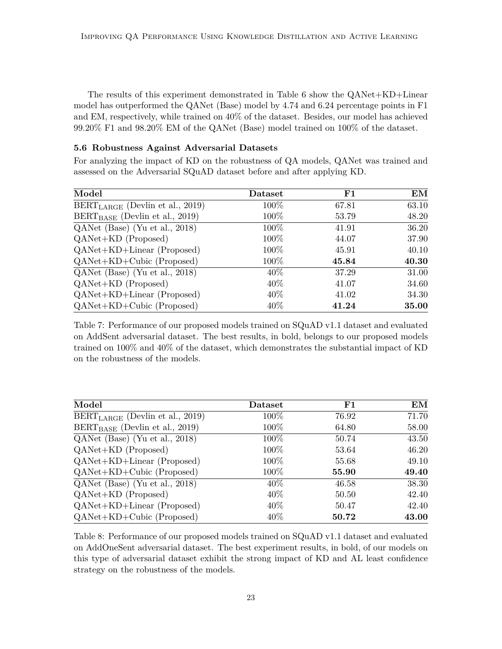The results of this experiment demonstrated in Table 6 show the QANet+KD+Linear model has outperformed the QANet (Base) model by 4.74 and 6.24 percentage points in F1 and EM, respectively, while trained on 40% of the dataset. Besides, our model has achieved 99.20% F1 and 98.20% EM of the QANet (Base) model trained on 100% of the dataset.

## **5.6 Robustness Against Adversarial Datasets**

For analyzing the impact of KD on the robustness of QA models, QANet was trained and assessed on the Adversarial SQuAD dataset before and after applying KD.

| Model                                | Dataset | ${\bf F1}$ | EM    |
|--------------------------------------|---------|------------|-------|
| $BERT_{LARGE}$ (Devlin et al., 2019) | $100\%$ | 67.81      | 63.10 |
| $BERT_{BASE}$ (Devlin et al., 2019)  | $100\%$ | 53.79      | 48.20 |
| QANet (Base) (Yu et al., 2018)       | $100\%$ | 41.91      | 36.20 |
| $QANet+KD$ (Proposed)                | $100\%$ | 44.07      | 37.90 |
| $QANet+KD+Linear$ (Proposed)         | 100%    | 45.91      | 40.10 |
| $QANet+KD+Cubic$ (Proposed)          | 100%    | 45.84      | 40.30 |
| QANet (Base) (Yu et al., 2018)       | $40\%$  | 37.29      | 31.00 |
| $QANet+KD$ (Proposed)                | $40\%$  | 41.07      | 34.60 |
| $QANet+KD+Linear$ (Proposed)         | $40\%$  | 41.02      | 34.30 |
| $QANet+KD+Cubic$ (Proposed)          | $40\%$  | 41.24      | 35.00 |

Table 7: Performance of our proposed models trained on SQuAD v1.1 dataset and evaluated on AddSent adversarial dataset. The best results, in bold, belongs to our proposed models trained on 100% and 40% of the dataset, which demonstrates the substantial impact of KD on the robustness of the models.

| Model                                | Dataset | ${\bf F1}$ | EM    |
|--------------------------------------|---------|------------|-------|
| $BERT_{LARGE}$ (Devlin et al., 2019) | $100\%$ | 76.92      | 71.70 |
| $BERT_{BASE}$ (Devlin et al., 2019)  | $100\%$ | 64.80      | 58.00 |
| QANet (Base) (Yu et al., 2018)       | $100\%$ | 50.74      | 43.50 |
| $QANet+KD$ (Proposed)                | $100\%$ | 53.64      | 46.20 |
| $QANet+KD+Linear$ (Proposed)         | $100\%$ | 55.68      | 49.10 |
| $QANet+KD+Cubic$ (Proposed)          | $100\%$ | 55.90      | 49.40 |
| QANet (Base) (Yu et al., 2018)       | $40\%$  | 46.58      | 38.30 |
| $QANet+KD$ (Proposed)                | $40\%$  | 50.50      | 42.40 |
| $QANet+KD+Linear$ (Proposed)         | $40\%$  | 50.47      | 42.40 |
| $QANet+KD+Cubic$ (Proposed)          | $40\%$  | 50.72      | 43.00 |

Table 8: Performance of our proposed models trained on SQuAD v1.1 dataset and evaluated on AddOneSent adversarial dataset. The best experiment results, in bold, of our models on this type of adversarial dataset exhibit the strong impact of KD and AL least confidence strategy on the robustness of the models.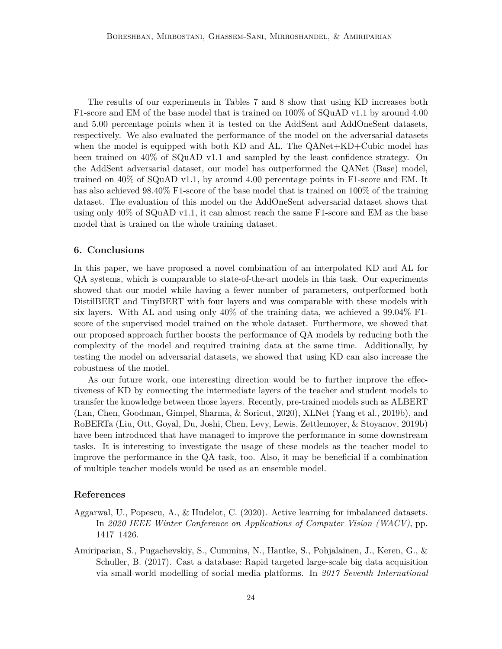The results of our experiments in Tables 7 and 8 show that using KD increases both F1-score and EM of the base model that is trained on 100% of SQuAD v1.1 by around 4.00 and 5.00 percentage points when it is tested on the AddSent and AddOneSent datasets, respectively. We also evaluated the performance of the model on the adversarial datasets when the model is equipped with both KD and AL. The QANet+KD+Cubic model has been trained on 40% of SQuAD v1.1 and sampled by the least confidence strategy. On the AddSent adversarial dataset, our model has outperformed the QANet (Base) model, trained on 40% of SQuAD v1.1, by around 4.00 percentage points in F1-score and EM. It has also achieved 98.40% F1-score of the base model that is trained on 100% of the training dataset. The evaluation of this model on the AddOneSent adversarial dataset shows that using only 40% of SQuAD v1.1, it can almost reach the same F1-score and EM as the base model that is trained on the whole training dataset.

#### **6. Conclusions**

In this paper, we have proposed a novel combination of an interpolated KD and AL for QA systems, which is comparable to state-of-the-art models in this task. Our experiments showed that our model while having a fewer number of parameters, outperformed both DistilBERT and TinyBERT with four layers and was comparable with these models with six layers. With AL and using only  $40\%$  of the training data, we achieved a  $99.04\%$  F1score of the supervised model trained on the whole dataset. Furthermore, we showed that our proposed approach further boosts the performance of QA models by reducing both the complexity of the model and required training data at the same time. Additionally, by testing the model on adversarial datasets, we showed that using KD can also increase the robustness of the model.

As our future work, one interesting direction would be to further improve the effectiveness of KD by connecting the intermediate layers of the teacher and student models to transfer the knowledge between those layers. Recently, pre-trained models such as ALBERT (Lan, Chen, Goodman, Gimpel, Sharma, & Soricut, 2020), XLNet (Yang et al., 2019b), and RoBERTa (Liu, Ott, Goyal, Du, Joshi, Chen, Levy, Lewis, Zettlemoyer, & Stoyanov, 2019b) have been introduced that have managed to improve the performance in some downstream tasks. It is interesting to investigate the usage of these models as the teacher model to improve the performance in the QA task, too. Also, it may be beneficial if a combination of multiple teacher models would be used as an ensemble model.

#### **References**

- Aggarwal, U., Popescu, A., & Hudelot, C. (2020). Active learning for imbalanced datasets. In *2020 IEEE Winter Conference on Applications of Computer Vision (WACV)*, pp. 1417–1426.
- Amiriparian, S., Pugachevskiy, S., Cummins, N., Hantke, S., Pohjalainen, J., Keren, G., & Schuller, B. (2017). Cast a database: Rapid targeted large-scale big data acquisition via small-world modelling of social media platforms. In *2017 Seventh International*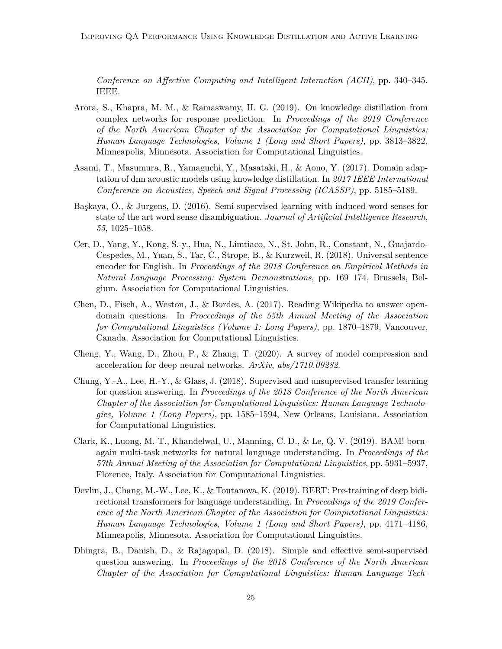*Conference on Affective Computing and Intelligent Interaction (ACII)*, pp. 340–345. IEEE.

- Arora, S., Khapra, M. M., & Ramaswamy, H. G. (2019). On knowledge distillation from complex networks for response prediction. In *Proceedings of the 2019 Conference of the North American Chapter of the Association for Computational Linguistics: Human Language Technologies, Volume 1 (Long and Short Papers)*, pp. 3813–3822, Minneapolis, Minnesota. Association for Computational Linguistics.
- Asami, T., Masumura, R., Yamaguchi, Y., Masataki, H., & Aono, Y. (2017). Domain adaptation of dnn acoustic models using knowledge distillation. In *2017 IEEE International Conference on Acoustics, Speech and Signal Processing (ICASSP)*, pp. 5185–5189.
- Başkaya, O., & Jurgens, D. (2016). Semi-supervised learning with induced word senses for state of the art word sense disambiguation. *Journal of Artificial Intelligence Research*, *55*, 1025–1058.
- Cer, D., Yang, Y., Kong, S.-y., Hua, N., Limtiaco, N., St. John, R., Constant, N., Guajardo-Cespedes, M., Yuan, S., Tar, C., Strope, B., & Kurzweil, R. (2018). Universal sentence encoder for English. In *Proceedings of the 2018 Conference on Empirical Methods in Natural Language Processing: System Demonstrations*, pp. 169–174, Brussels, Belgium. Association for Computational Linguistics.
- Chen, D., Fisch, A., Weston, J., & Bordes, A. (2017). Reading Wikipedia to answer opendomain questions. In *Proceedings of the 55th Annual Meeting of the Association for Computational Linguistics (Volume 1: Long Papers)*, pp. 1870–1879, Vancouver, Canada. Association for Computational Linguistics.
- Cheng, Y., Wang, D., Zhou, P., & Zhang, T. (2020). A survey of model compression and acceleration for deep neural networks. *ArXiv*, *abs/1710.09282*.
- Chung, Y.-A., Lee, H.-Y., & Glass, J. (2018). Supervised and unsupervised transfer learning for question answering. In *Proceedings of the 2018 Conference of the North American Chapter of the Association for Computational Linguistics: Human Language Technologies, Volume 1 (Long Papers)*, pp. 1585–1594, New Orleans, Louisiana. Association for Computational Linguistics.
- Clark, K., Luong, M.-T., Khandelwal, U., Manning, C. D., & Le, Q. V. (2019). BAM! bornagain multi-task networks for natural language understanding. In *Proceedings of the 57th Annual Meeting of the Association for Computational Linguistics*, pp. 5931–5937, Florence, Italy. Association for Computational Linguistics.
- Devlin, J., Chang, M.-W., Lee, K., & Toutanova, K. (2019). BERT: Pre-training of deep bidirectional transformers for language understanding. In *Proceedings of the 2019 Conference of the North American Chapter of the Association for Computational Linguistics: Human Language Technologies, Volume 1 (Long and Short Papers)*, pp. 4171–4186, Minneapolis, Minnesota. Association for Computational Linguistics.
- Dhingra, B., Danish, D., & Rajagopal, D. (2018). Simple and effective semi-supervised question answering. In *Proceedings of the 2018 Conference of the North American Chapter of the Association for Computational Linguistics: Human Language Tech-*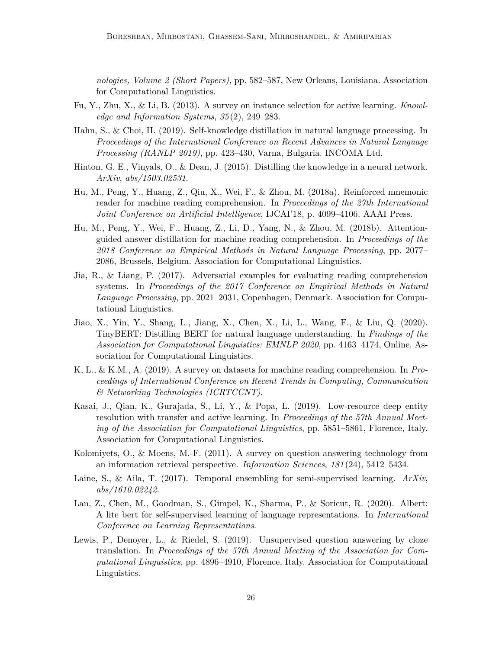*nologies, Volume 2 (Short Papers)*, pp. 582–587, New Orleans, Louisiana. Association for Computational Linguistics.

- Fu, Y., Zhu, X., & Li, B. (2013). A survey on instance selection for active learning. *Knowledge and Information Systems*, *35* (2), 249–283.
- Hahn, S., & Choi, H. (2019). Self-knowledge distillation in natural language processing. In *Proceedings of the International Conference on Recent Advances in Natural Language Processing (RANLP 2019)*, pp. 423–430, Varna, Bulgaria. INCOMA Ltd.
- Hinton, G. E., Vinyals, O., & Dean, J. (2015). Distilling the knowledge in a neural network. *ArXiv*, *abs/1503.02531*.
- Hu, M., Peng, Y., Huang, Z., Qiu, X., Wei, F., & Zhou, M. (2018a). Reinforced mnemonic reader for machine reading comprehension. In *Proceedings of the 27th International Joint Conference on Artificial Intelligence*, IJCAI'18, p. 4099–4106. AAAI Press.
- Hu, M., Peng, Y., Wei, F., Huang, Z., Li, D., Yang, N., & Zhou, M. (2018b). Attentionguided answer distillation for machine reading comprehension. In *Proceedings of the 2018 Conference on Empirical Methods in Natural Language Processing*, pp. 2077– 2086, Brussels, Belgium. Association for Computational Linguistics.
- Jia, R., & Liang, P. (2017). Adversarial examples for evaluating reading comprehension systems. In *Proceedings of the 2017 Conference on Empirical Methods in Natural Language Processing*, pp. 2021–2031, Copenhagen, Denmark. Association for Computational Linguistics.
- Jiao, X., Yin, Y., Shang, L., Jiang, X., Chen, X., Li, L., Wang, F., & Liu, Q. (2020). TinyBERT: Distilling BERT for natural language understanding. In *Findings of the Association for Computational Linguistics: EMNLP 2020*, pp. 4163–4174, Online. Association for Computational Linguistics.
- K, L., & K.M., A. (2019). A survey on datasets for machine reading comprehension. In *Proceedings of International Conference on Recent Trends in Computing, Communication & Networking Technologies (ICRTCCNT)*.
- Kasai, J., Qian, K., Gurajada, S., Li, Y., & Popa, L. (2019). Low-resource deep entity resolution with transfer and active learning. In *Proceedings of the 57th Annual Meeting of the Association for Computational Linguistics*, pp. 5851–5861, Florence, Italy. Association for Computational Linguistics.
- Kolomiyets, O., & Moens, M.-F. (2011). A survey on question answering technology from an information retrieval perspective. *Information Sciences*, *181* (24), 5412–5434.
- Laine, S., & Aila, T. (2017). Temporal ensembling for semi-supervised learning. *ArXiv*, *abs/1610.02242*.
- Lan, Z., Chen, M., Goodman, S., Gimpel, K., Sharma, P., & Soricut, R. (2020). Albert: A lite bert for self-supervised learning of language representations. In *International Conference on Learning Representations*.
- Lewis, P., Denoyer, L., & Riedel, S. (2019). Unsupervised question answering by cloze translation. In *Proceedings of the 57th Annual Meeting of the Association for Computational Linguistics*, pp. 4896–4910, Florence, Italy. Association for Computational Linguistics.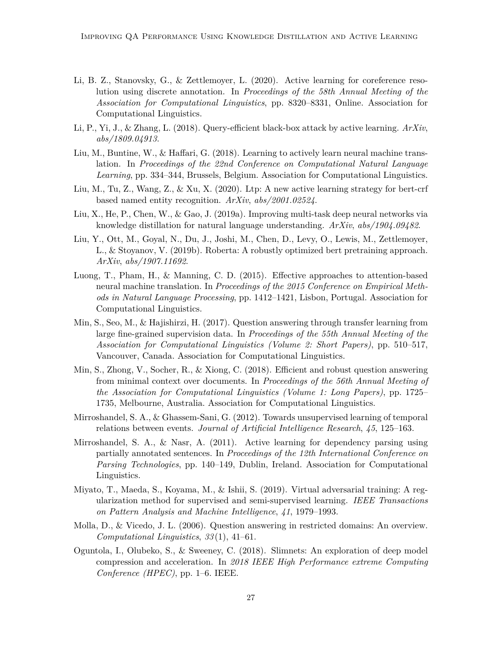- Li, B. Z., Stanovsky, G., & Zettlemoyer, L. (2020). Active learning for coreference resolution using discrete annotation. In *Proceedings of the 58th Annual Meeting of the Association for Computational Linguistics*, pp. 8320–8331, Online. Association for Computational Linguistics.
- Li, P., Yi, J., & Zhang, L. (2018). Query-efficient black-box attack by active learning. *ArXiv*, *abs/1809.04913*.
- Liu, M., Buntine, W., & Haffari, G. (2018). Learning to actively learn neural machine translation. In *Proceedings of the 22nd Conference on Computational Natural Language Learning*, pp. 334–344, Brussels, Belgium. Association for Computational Linguistics.
- Liu, M., Tu, Z., Wang, Z., & Xu, X. (2020). Ltp: A new active learning strategy for bert-crf based named entity recognition. *ArXiv*, *abs/2001.02524*.
- Liu, X., He, P., Chen, W., & Gao, J. (2019a). Improving multi-task deep neural networks via knowledge distillation for natural language understanding. *ArXiv*, *abs/1904.09482*.
- Liu, Y., Ott, M., Goyal, N., Du, J., Joshi, M., Chen, D., Levy, O., Lewis, M., Zettlemoyer, L., & Stoyanov, V. (2019b). Roberta: A robustly optimized bert pretraining approach. *ArXiv*, *abs/1907.11692*.
- Luong, T., Pham, H., & Manning, C. D. (2015). Effective approaches to attention-based neural machine translation. In *Proceedings of the 2015 Conference on Empirical Methods in Natural Language Processing*, pp. 1412–1421, Lisbon, Portugal. Association for Computational Linguistics.
- Min, S., Seo, M., & Hajishirzi, H. (2017). Question answering through transfer learning from large fine-grained supervision data. In *Proceedings of the 55th Annual Meeting of the Association for Computational Linguistics (Volume 2: Short Papers)*, pp. 510–517, Vancouver, Canada. Association for Computational Linguistics.
- Min, S., Zhong, V., Socher, R., & Xiong, C. (2018). Efficient and robust question answering from minimal context over documents. In *Proceedings of the 56th Annual Meeting of the Association for Computational Linguistics (Volume 1: Long Papers)*, pp. 1725– 1735, Melbourne, Australia. Association for Computational Linguistics.
- Mirroshandel, S. A., & Ghassem-Sani, G. (2012). Towards unsupervised learning of temporal relations between events. *Journal of Artificial Intelligence Research*, *45*, 125–163.
- Mirroshandel, S. A., & Nasr, A. (2011). Active learning for dependency parsing using partially annotated sentences. In *Proceedings of the 12th International Conference on Parsing Technologies*, pp. 140–149, Dublin, Ireland. Association for Computational Linguistics.
- Miyato, T., Maeda, S., Koyama, M., & Ishii, S. (2019). Virtual adversarial training: A regularization method for supervised and semi-supervised learning. *IEEE Transactions on Pattern Analysis and Machine Intelligence*, *41*, 1979–1993.
- Molla, D., & Vicedo, J. L. (2006). Question answering in restricted domains: An overview. *Computational Linguistics*, *33* (1), 41–61.
- Oguntola, I., Olubeko, S., & Sweeney, C. (2018). Slimnets: An exploration of deep model compression and acceleration. In *2018 IEEE High Performance extreme Computing Conference (HPEC)*, pp. 1–6. IEEE.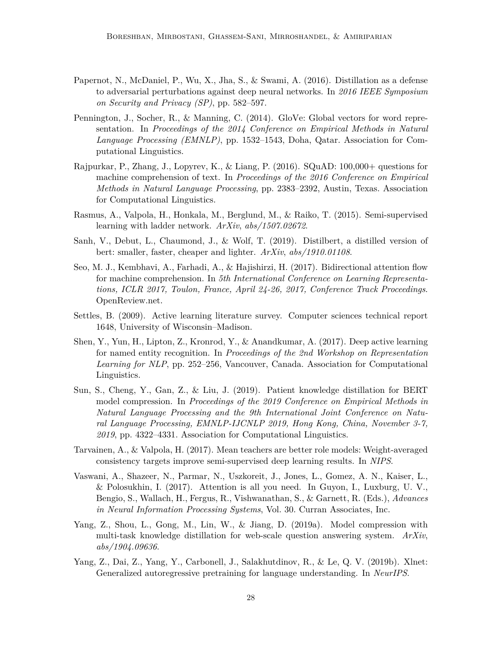- Papernot, N., McDaniel, P., Wu, X., Jha, S., & Swami, A. (2016). Distillation as a defense to adversarial perturbations against deep neural networks. In *2016 IEEE Symposium on Security and Privacy (SP)*, pp. 582–597.
- Pennington, J., Socher, R., & Manning, C. (2014). GloVe: Global vectors for word representation. In *Proceedings of the 2014 Conference on Empirical Methods in Natural Language Processing (EMNLP)*, pp. 1532–1543, Doha, Qatar. Association for Computational Linguistics.
- Rajpurkar, P., Zhang, J., Lopyrev, K., & Liang, P. (2016). SQuAD: 100,000+ questions for machine comprehension of text. In *Proceedings of the 2016 Conference on Empirical Methods in Natural Language Processing*, pp. 2383–2392, Austin, Texas. Association for Computational Linguistics.
- Rasmus, A., Valpola, H., Honkala, M., Berglund, M., & Raiko, T. (2015). Semi-supervised learning with ladder network. *ArXiv*, *abs/1507.02672*.
- Sanh, V., Debut, L., Chaumond, J., & Wolf, T. (2019). Distilbert, a distilled version of bert: smaller, faster, cheaper and lighter. *ArXiv*, *abs/1910.01108*.
- Seo, M. J., Kembhavi, A., Farhadi, A., & Hajishirzi, H. (2017). Bidirectional attention flow for machine comprehension. In *5th International Conference on Learning Representations, ICLR 2017, Toulon, France, April 24-26, 2017, Conference Track Proceedings*. OpenReview.net.
- Settles, B. (2009). Active learning literature survey. Computer sciences technical report 1648, University of Wisconsin–Madison.
- Shen, Y., Yun, H., Lipton, Z., Kronrod, Y., & Anandkumar, A. (2017). Deep active learning for named entity recognition. In *Proceedings of the 2nd Workshop on Representation Learning for NLP*, pp. 252–256, Vancouver, Canada. Association for Computational Linguistics.
- Sun, S., Cheng, Y., Gan, Z., & Liu, J. (2019). Patient knowledge distillation for BERT model compression. In *Proceedings of the 2019 Conference on Empirical Methods in Natural Language Processing and the 9th International Joint Conference on Natural Language Processing, EMNLP-IJCNLP 2019, Hong Kong, China, November 3-7, 2019*, pp. 4322–4331. Association for Computational Linguistics.
- Tarvainen, A., & Valpola, H. (2017). Mean teachers are better role models: Weight-averaged consistency targets improve semi-supervised deep learning results. In *NIPS*.
- Vaswani, A., Shazeer, N., Parmar, N., Uszkoreit, J., Jones, L., Gomez, A. N., Kaiser, L., & Polosukhin, I. (2017). Attention is all you need. In Guyon, I., Luxburg, U. V., Bengio, S., Wallach, H., Fergus, R., Vishwanathan, S., & Garnett, R. (Eds.), *Advances in Neural Information Processing Systems*, Vol. 30. Curran Associates, Inc.
- Yang, Z., Shou, L., Gong, M., Lin, W., & Jiang, D. (2019a). Model compression with multi-task knowledge distillation for web-scale question answering system. *ArXiv*, *abs/1904.09636*.
- Yang, Z., Dai, Z., Yang, Y., Carbonell, J., Salakhutdinov, R., & Le, Q. V. (2019b). Xlnet: Generalized autoregressive pretraining for language understanding. In *NeurIPS*.